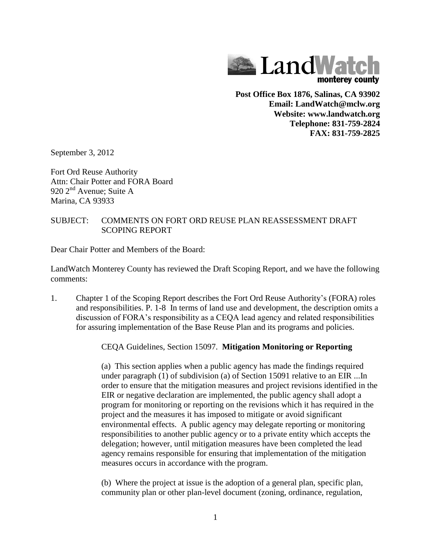

**Post Office Box 1876, Salinas, CA 93902 Email: LandWatch@mclw.org Website: www.landwatch.org Telephone: 831-759-2824 FAX: 831-759-2825**

September 3, 2012

Fort Ord Reuse Authority Attn: Chair Potter and FORA Board 920 2<sup>nd</sup> Avenue: Suite A Marina, CA 93933

## SUBJECT: COMMENTS ON FORT ORD REUSE PLAN REASSESSMENT DRAFT SCOPING REPORT

Dear Chair Potter and Members of the Board:

LandWatch Monterey County has reviewed the Draft Scoping Report, and we have the following comments:

1. Chapter 1 of the Scoping Report describes the Fort Ord Reuse Authority's (FORA) roles and responsibilities. P. 1-8 In terms of land use and development, the description omits a discussion of FORA's responsibility as a CEQA lead agency and related responsibilities for assuring implementation of the Base Reuse Plan and its programs and policies.

CEQA Guidelines, Section 15097. **Mitigation Monitoring or Reporting**

(a) This section applies when a public agency has made the findings required under paragraph (1) of subdivision (a) of Section 15091 relative to an EIR ...In order to ensure that the mitigation measures and project revisions identified in the EIR or negative declaration are implemented, the public agency shall adopt a program for monitoring or reporting on the revisions which it has required in the project and the measures it has imposed to mitigate or avoid significant environmental effects. A public agency may delegate reporting or monitoring responsibilities to another public agency or to a private entity which accepts the delegation; however, until mitigation measures have been completed the lead agency remains responsible for ensuring that implementation of the mitigation measures occurs in accordance with the program.

(b) Where the project at issue is the adoption of a general plan, specific plan, community plan or other plan-level document (zoning, ordinance, regulation,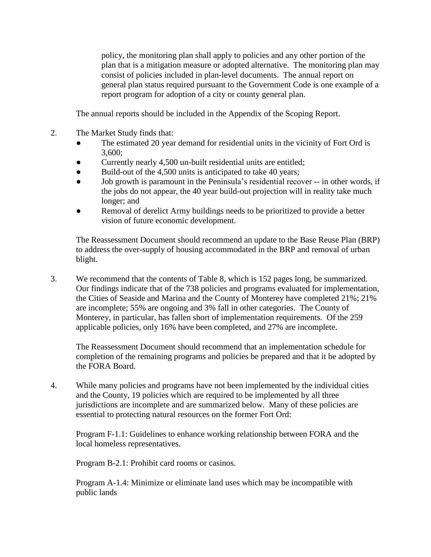policy, the monitoring plan shall apply to policies and any other portion of the plan that is a mitigation measure or adopted alternative. The monitoring plan may consist of policies included in plan-level documents. The annual report on general plan status required pursuant to the Government Code is one example of a report program for adoption of a city or county general plan.

The annual reports should be included in the Appendix of the Scoping Report.

- 2. The Market Study finds that:
	- The estimated 20 year demand for residential units in the vicinity of Fort Ord is 3,600;
	- Currently nearly 4,500 un-built residential units are entitled;
	- Build-out of the 4,500 units is anticipated to take 40 years;
	- Job growth is paramount in the Peninsula's residential recover -- in other words, if the jobs do not appear, the 40 year build-out projection will in reality take much longer; and
	- Removal of derelict Army buildings needs to be prioritized to provide a better vision of future economic development.

The Reassessment Document should recommend an update to the Base Reuse Plan (BRP) to address the over-supply of housing accommodated in the BRP and removal of urban blight.

3. We recommend that the contents of Table 8, which is 152 pages long, be summarized. Our findings indicate that of the 738 policies and programs evaluated for implementation, the Cities of Seaside and Marina and the County of Monterey have completed 21%; 21% are incomplete; 55% are ongoing and 3% fall in other categories. The County of Monterey, in particular, has fallen short of implementation requirements. Of the 259 applicable policies, only 16% have been completed, and 27% are incomplete.

The Reassessment Document should recommend that an implementation schedule for completion of the remaining programs and policies be prepared and that it be adopted by the FORA Board.

4. While many policies and programs have not been implemented by the individual cities and the County, 19 policies which are required to be implemented by all three jurisdictions are incomplete and are summarized below. Many of these policies are essential to protecting natural resources on the former Fort Ord:

Program F-1.1: Guidelines to enhance working relationship between FORA and the local homeless representatives.

Program B-2.1: Prohibit card rooms or casinos.

Program A-1.4: Minimize or eliminate land uses which may be incompatible with public lands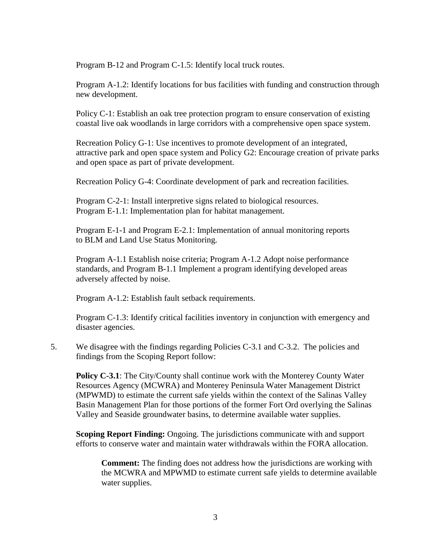Program B-12 and Program C-1.5: Identify local truck routes.

Program A-1.2: Identify locations for bus facilities with funding and construction through new development.

Policy C-1: Establish an oak tree protection program to ensure conservation of existing coastal live oak woodlands in large corridors with a comprehensive open space system.

Recreation Policy G-1: Use incentives to promote development of an integrated, attractive park and open space system and Policy G2: Encourage creation of private parks and open space as part of private development.

Recreation Policy G-4: Coordinate development of park and recreation facilities.

Program C-2-1: Install interpretive signs related to biological resources. Program E-1.1: Implementation plan for habitat management.

Program E-1-1 and Program E-2.1: Implementation of annual monitoring reports to BLM and Land Use Status Monitoring.

Program A-1.1 Establish noise criteria; Program A-1.2 Adopt noise performance standards, and Program B-1.1 Implement a program identifying developed areas adversely affected by noise.

Program A-1.2: Establish fault setback requirements.

Program C-1.3: Identify critical facilities inventory in conjunction with emergency and disaster agencies.

5. We disagree with the findings regarding Policies C-3.1 and C-3.2. The policies and findings from the Scoping Report follow:

**Policy C-3.1**: The City/County shall continue work with the Monterey County Water Resources Agency (MCWRA) and Monterey Peninsula Water Management District (MPWMD) to estimate the current safe yields within the context of the Salinas Valley Basin Management Plan for those portions of the former Fort Ord overlying the Salinas Valley and Seaside groundwater basins, to determine available water supplies.

**Scoping Report Finding:** Ongoing. The jurisdictions communicate with and support efforts to conserve water and maintain water withdrawals within the FORA allocation.

**Comment:** The finding does not address how the jurisdictions are working with the MCWRA and MPWMD to estimate current safe yields to determine available water supplies.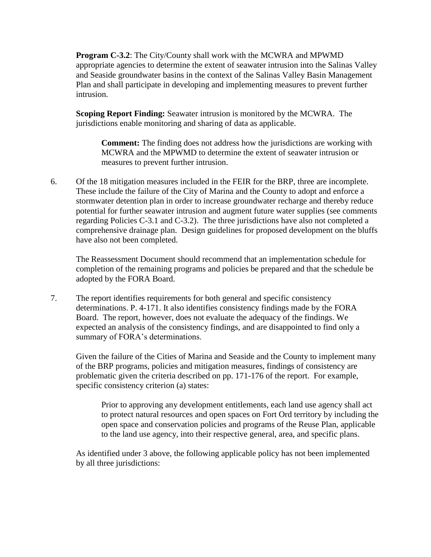**Program C-3.2**: The City/County shall work with the MCWRA and MPWMD appropriate agencies to determine the extent of seawater intrusion into the Salinas Valley and Seaside groundwater basins in the context of the Salinas Valley Basin Management Plan and shall participate in developing and implementing measures to prevent further intrusion.

**Scoping Report Finding:** Seawater intrusion is monitored by the MCWRA. The jurisdictions enable monitoring and sharing of data as applicable.

**Comment:** The finding does not address how the jurisdictions are working with MCWRA and the MPWMD to determine the extent of seawater intrusion or measures to prevent further intrusion.

6. Of the 18 mitigation measures included in the FEIR for the BRP, three are incomplete. These include the failure of the City of Marina and the County to adopt and enforce a stormwater detention plan in order to increase groundwater recharge and thereby reduce potential for further seawater intrusion and augment future water supplies (see comments regarding Policies C-3.1 and C-3.2). The three jurisdictions have also not completed a comprehensive drainage plan. Design guidelines for proposed development on the bluffs have also not been completed.

The Reassessment Document should recommend that an implementation schedule for completion of the remaining programs and policies be prepared and that the schedule be adopted by the FORA Board.

7. The report identifies requirements for both general and specific consistency determinations. P. 4-171. It also identifies consistency findings made by the FORA Board. The report, however, does not evaluate the adequacy of the findings. We expected an analysis of the consistency findings, and are disappointed to find only a summary of FORA's determinations.

Given the failure of the Cities of Marina and Seaside and the County to implement many of the BRP programs, policies and mitigation measures, findings of consistency are problematic given the criteria described on pp. 171-176 of the report. For example, specific consistency criterion (a) states:

Prior to approving any development entitlements, each land use agency shall act to protect natural resources and open spaces on Fort Ord territory by including the open space and conservation policies and programs of the Reuse Plan, applicable to the land use agency, into their respective general, area, and specific plans.

As identified under 3 above, the following applicable policy has not been implemented by all three jurisdictions: